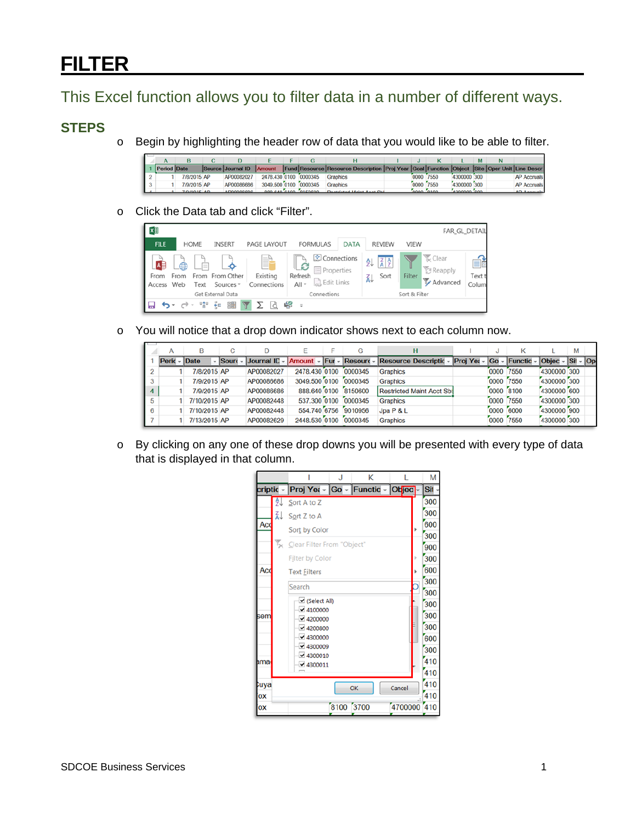## **FILTER**

This Excel function allows you to filter data in a number of different ways.

## **STEPS**

o Begin by highlighting the header row of data that you would like to be able to filter.

| <b>Period Date</b> |             | Source Journal ID | <b>Amount</b>         |                      | Fund Resource Resource Description Proj Year Goal Function Object Site Oper Unit Line Descr |           |             |  |                    |
|--------------------|-------------|-------------------|-----------------------|----------------------|---------------------------------------------------------------------------------------------|-----------|-------------|--|--------------------|
|                    | 7/8/2015 AP | AP00082027        | 2478.430 0100 0000345 |                      | Graphics                                                                                    | 0000 7550 | 4300000 300 |  | <b>AP Accruals</b> |
|                    | 7/9/2015 AP | AP00086686        | 3049,500 0100         | 0000345              | <b>Graphics</b>                                                                             | 0000 7550 | 4300000 300 |  | <b>AP Accruals</b> |
|                    | ZIOIODIE AD | ADOOOOOOO         |                       | ann ein eine Girnenn | Depthined Holet Appt Ohl                                                                    |           | sonnong con |  | AD Assemble        |

o Click the Data tab and click "Filter".

| × ∄                  |                                    |                                         |                               |                                                                        |             |                                                 |               |                                         | FAR_GL_DETAIL         |
|----------------------|------------------------------------|-----------------------------------------|-------------------------------|------------------------------------------------------------------------|-------------|-------------------------------------------------|---------------|-----------------------------------------|-----------------------|
| <b>FILE</b>          | <b>HOME</b>                        | <b>INSERT</b>                           | <b>PAGE LAYOUT</b>            | <b>FORMULAS</b>                                                        | <b>DATA</b> | <b>REVIEW</b>                                   | VIEW          |                                         |                       |
| AB<br>From<br>Access | 一<br>食<br>≡<br>From<br>Web<br>Text | From From Other<br>Sources <sup>-</sup> | Eì<br>Existing<br>Connections | Connections<br>⊩ຂ<br>$E$ Properties<br>Refresh<br>Belit Links<br>All - |             | $\frac{Z}{A}$ $\frac{A}{Z}$<br>₿Į<br>Sort<br>Ã↓ | Filter        | <b>K</b> Clear<br>图 Reapply<br>Advanced | EÈ<br>Text t<br>Colum |
|                      |                                    | Get External Data                       |                               | Connections                                                            |             |                                                 | Sort & Filter |                                         |                       |
| le                   | 마층                                 | 록<br>鼺                                  |                               | 48<br>$\equiv$                                                         |             |                                                 |               |                                         |                       |

o You will notice that a drop down indicator shows next to each column now.

|                  |         |              | C            |                                     |               | G                    |                                  |                              | J         | ĸ    |                      | M |  |
|------------------|---------|--------------|--------------|-------------------------------------|---------------|----------------------|----------------------------------|------------------------------|-----------|------|----------------------|---|--|
|                  | Peric - | Date         | <b>Sourc</b> | Journal ID - Amount - Fur - Resourd |               |                      | Resource Descriptic -            | $ Proj Yei -  Go - Function$ |           |      | $ Obiec - Si  -  Op$ |   |  |
| $\overline{2}$   |         | 7/8/2015 AP  |              | AP00082027                          | 2478.430 0100 | 0000345              | <b>Graphics</b>                  |                              | 0000      | 7550 | 4300000 300          |   |  |
| 3                |         | 7/9/2015 AP  |              | AP00086686                          | 3049,500 0100 | 0000345              | <b>Graphics</b>                  |                              | 0000      | 7550 | 4300000 300          |   |  |
| $\boldsymbol{A}$ |         | 7/9/2015 AP  |              | AP00086686                          |               | 888.640 0100 8150600 | <b>Restricted Maint Acct Sb:</b> |                              | 0000 8100 |      | 4300000 600          |   |  |
| 5                |         | 7/10/2015 AP |              | AP00082448                          | 537,300 0100  | 0000345              | <b>Graphics</b>                  |                              | 0000      | 7550 | 4300000 300          |   |  |
| 6                |         | 7/10/2015 AP |              | AP00082448                          | 554.740 6756  | 9010956              | Jpa P & L                        |                              | 0000      | 6000 | 4300000 900          |   |  |
|                  |         | 7/13/2015 AP |              | AP00082629                          | 2448.530 0100 | 0000345              | <b>Graphics</b>                  |                              | 0000      | 7550 | 4300000 300          |   |  |

o By clicking on any one of these drop downs you will be presented with every type of data that is displayed in that column.